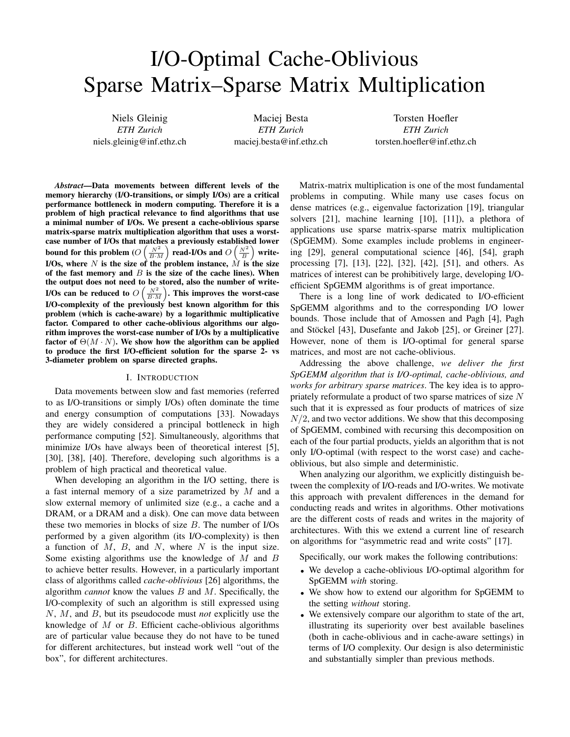# I/O-Optimal Cache-Oblivious Sparse Matrix–Sparse Matrix Multiplication

Niels Gleinig *ETH Zurich* niels.gleinig@inf.ethz.ch

Maciej Besta *ETH Zurich* maciej.besta@inf.ethz.ch

Torsten Hoefler *ETH Zurich* torsten.hoefler@inf.ethz.ch

*Abstract*—Data movements between different levels of the memory hierarchy (I/O-transitions, or simply I/Os) are a critical performance bottleneck in modern computing. Therefore it is a problem of high practical relevance to find algorithms that use a minimal number of I/Os. We present a cache-oblivious sparse matrix-sparse matrix multiplication algorithm that uses a worstcase number of I/Os that matches a previously established lower bound for this problem ( $O\left(\frac{N^2}{B\cdot M}\right)$  read-I/Os and  $O\left(\frac{N^2}{B}\right)$  write-I/Os, where N is the size of the problem instance,  $\tilde{M}$  is the size of the fast memory and  $B$  is the size of the cache lines). When the output does not need to be stored, also the number of write-I/Os can be reduced to  $O\left(\frac{N^2}{B\cdot M}\right)$ . This improves the worst-case I/O-complexity of the previously best known algorithm for this problem (which is cache-aware) by a logarithmic multiplicative factor. Compared to other cache-oblivious algorithms our algorithm improves the worst-case number of I/Os by a multiplicative factor of  $\Theta(M \cdot N)$ . We show how the algorithm can be applied to produce the first I/O-efficient solution for the sparse 2- vs 3-diameter problem on sparse directed graphs.

### I. INTRODUCTION

Data movements between slow and fast memories (referred to as I/O-transitions or simply I/Os) often dominate the time and energy consumption of computations [33]. Nowadays they are widely considered a principal bottleneck in high performance computing [52]. Simultaneously, algorithms that minimize I/Os have always been of theoretical interest [5], [30], [38], [40]. Therefore, developing such algorithms is a problem of high practical and theoretical value.

When developing an algorithm in the I/O setting, there is a fast internal memory of a size parametrized by  $M$  and a slow external memory of unlimited size (e.g., a cache and a DRAM, or a DRAM and a disk). One can move data between these two memories in blocks of size  $B$ . The number of I/Os performed by a given algorithm (its I/O-complexity) is then a function of  $M$ ,  $B$ , and  $N$ , where  $N$  is the input size. Some existing algorithms use the knowledge of  $M$  and  $B$ to achieve better results. However, in a particularly important class of algorithms called *cache-oblivious* [26] algorithms, the algorithm *cannot* know the values B and M. Specifically, the I/O-complexity of such an algorithm is still expressed using N, M, and B, but its pseudocode must *not* explicitly use the knowledge of  $M$  or  $B$ . Efficient cache-oblivious algorithms are of particular value because they do not have to be tuned for different architectures, but instead work well "out of the box", for different architectures.

Matrix-matrix multiplication is one of the most fundamental problems in computing. While many use cases focus on dense matrices (e.g., eigenvalue factorization [19], triangular solvers [21], machine learning [10], [11]), a plethora of applications use sparse matrix-sparse matrix multiplication (SpGEMM). Some examples include problems in engineering [29], general computational science [46], [54], graph processing [7], [13], [22], [32], [42], [51], and others. As matrices of interest can be prohibitively large, developing I/Oefficient SpGEMM algorithms is of great importance.

There is a long line of work dedicated to I/O-efficient SpGEMM algorithms and to the corresponding I/O lower bounds. Those include that of Amossen and Pagh [4], Pagh and Stöckel [43], Dusefante and Jakob [25], or Greiner [27]. However, none of them is I/O-optimal for general sparse matrices, and most are not cache-oblivious.

Addressing the above challenge, *we deliver the first SpGEMM algorithm that is I/O-optimal, cache-oblivious, and works for arbitrary sparse matrices*. The key idea is to appropriately reformulate a product of two sparse matrices of size N such that it is expressed as four products of matrices of size  $N/2$ , and two vector additions. We show that this decomposing of SpGEMM, combined with recursing this decomposition on each of the four partial products, yields an algorithm that is not only I/O-optimal (with respect to the worst case) and cacheoblivious, but also simple and deterministic.

When analyzing our algorithm, we explicitly distinguish between the complexity of I/O-reads and I/O-writes. We motivate this approach with prevalent differences in the demand for conducting reads and writes in algorithms. Other motivations are the different costs of reads and writes in the majority of architectures. With this we extend a current line of research on algorithms for "asymmetric read and write costs" [17].

Specifically, our work makes the following contributions:

- We develop a cache-oblivious I/O-optimal algorithm for SpGEMM *with* storing.
- We show how to extend our algorithm for SpGEMM to the setting *without* storing.
- We extensively compare our algorithm to state of the art, illustrating its superiority over best available baselines (both in cache-oblivious and in cache-aware settings) in terms of I/O complexity. Our design is also deterministic and substantially simpler than previous methods.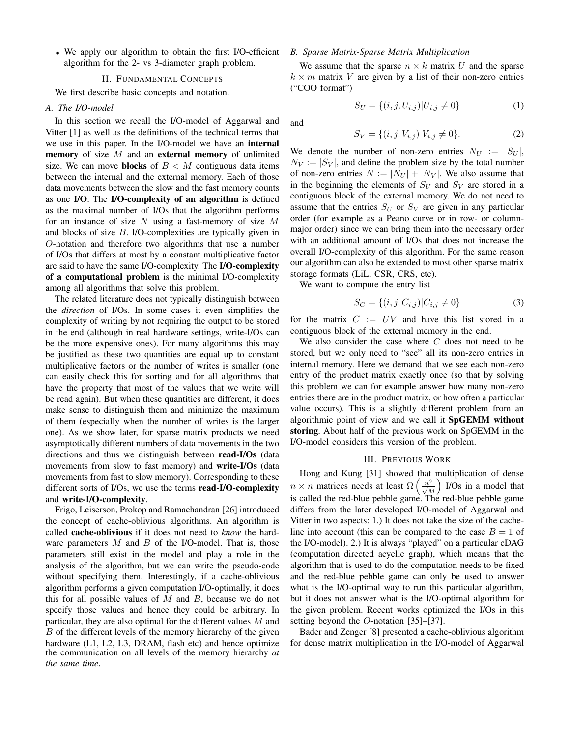• We apply our algorithm to obtain the first I/O-efficient algorithm for the 2- vs 3-diameter graph problem.

#### II. FUNDAMENTAL CONCEPTS

We first describe basic concepts and notation.

# *A. The I/O-model*

In this section we recall the I/O-model of Aggarwal and Vitter [1] as well as the definitions of the technical terms that we use in this paper. In the I/O-model we have an internal **memory** of size  $M$  and an **external memory** of unlimited size. We can move **blocks** of  $B < M$  contiguous data items between the internal and the external memory. Each of those data movements between the slow and the fast memory counts as one I/O. The I/O-complexity of an algorithm is defined as the maximal number of I/Os that the algorithm performs for an instance of size  $N$  using a fast-memory of size  $M$ and blocks of size B. I/O-complexities are typically given in O-notation and therefore two algorithms that use a number of I/Os that differs at most by a constant multiplicative factor are said to have the same I/O-complexity. The I/O-complexity of a computational problem is the minimal I/O-complexity among all algorithms that solve this problem.

The related literature does not typically distinguish between the *direction* of I/Os. In some cases it even simplifies the complexity of writing by not requiring the output to be stored in the end (although in real hardware settings, write-I/Os can be the more expensive ones). For many algorithms this may be justified as these two quantities are equal up to constant multiplicative factors or the number of writes is smaller (one can easily check this for sorting and for all algorithms that have the property that most of the values that we write will be read again). But when these quantities are different, it does make sense to distinguish them and minimize the maximum of them (especially when the number of writes is the larger one). As we show later, for sparse matrix products we need asymptotically different numbers of data movements in the two directions and thus we distinguish between read-I/Os (data movements from slow to fast memory) and write-I/Os (data movements from fast to slow memory). Corresponding to these different sorts of I/Os, we use the terms read-I/O-complexity and write-I/O-complexity.

Frigo, Leiserson, Prokop and Ramachandran [26] introduced the concept of cache-oblivious algorithms. An algorithm is called cache-oblivious if it does not need to *know* the hardware parameters  $M$  and  $B$  of the I/O-model. That is, those parameters still exist in the model and play a role in the analysis of the algorithm, but we can write the pseudo-code without specifying them. Interestingly, if a cache-oblivious algorithm performs a given computation I/O-optimally, it does this for all possible values of  $M$  and  $B$ , because we do not specify those values and hence they could be arbitrary. In particular, they are also optimal for the different values M and B of the different levels of the memory hierarchy of the given hardware (L1, L2, L3, DRAM, flash etc) and hence optimize the communication on all levels of the memory hierarchy *at the same time*.

# *B. Sparse Matrix-Sparse Matrix Multiplication*

We assume that the sparse  $n \times k$  matrix U and the sparse  $k \times m$  matrix V are given by a list of their non-zero entries ("COO format")

$$
S_U = \{(i, j, U_{i,j}) | U_{i,j} \neq 0\}
$$
 (1)

and

$$
S_V = \{(i, j, V_{i,j}) | V_{i,j} \neq 0\}.
$$
 (2)

We denote the number of non-zero entries  $N_U := |S_U|$ ,  $N_V := |S_V|$ , and define the problem size by the total number of non-zero entries  $N := |N_U| + |N_V|$ . We also assume that in the beginning the elements of  $S_U$  and  $S_V$  are stored in a contiguous block of the external memory. We do not need to assume that the entries  $S_U$  or  $S_V$  are given in any particular order (for example as a Peano curve or in row- or columnmajor order) since we can bring them into the necessary order with an additional amount of I/Os that does not increase the overall I/O-complexity of this algorithm. For the same reason our algorithm can also be extended to most other sparse matrix storage formats (LiL, CSR, CRS, etc).

We want to compute the entry list

$$
S_C = \{(i, j, C_{i,j}) | C_{i,j} \neq 0\}
$$
 (3)

for the matrix  $C := UV$  and have this list stored in a contiguous block of the external memory in the end.

We also consider the case where  $C$  does not need to be stored, but we only need to "see" all its non-zero entries in internal memory. Here we demand that we see each non-zero entry of the product matrix exactly once (so that by solving this problem we can for example answer how many non-zero entries there are in the product matrix, or how often a particular value occurs). This is a slightly different problem from an algorithmic point of view and we call it SpGEMM without storing. About half of the previous work on SpGEMM in the I/O-model considers this version of the problem.

## III. PREVIOUS WORK

Hong and Kung [31] showed that multiplication of dense  $n \times n$  matrices needs at least  $\Omega\left(\frac{n^3}{\sqrt{M}}\right)$  I/Os in a model that is called the red-blue pebble game. The red-blue pebble game differs from the later developed I/O-model of Aggarwal and Vitter in two aspects: 1.) It does not take the size of the cacheline into account (this can be compared to the case  $B = 1$  of the I/O-model). 2.) It is always "played" on a particular cDAG (computation directed acyclic graph), which means that the algorithm that is used to do the computation needs to be fixed and the red-blue pebble game can only be used to answer what is the I/O-optimal way to run this particular algorithm, but it does not answer what is the I/O-optimal algorithm for the given problem. Recent works optimized the I/Os in this setting beyond the O-notation [35]–[37].

Bader and Zenger [8] presented a cache-oblivious algorithm for dense matrix multiplication in the I/O-model of Aggarwal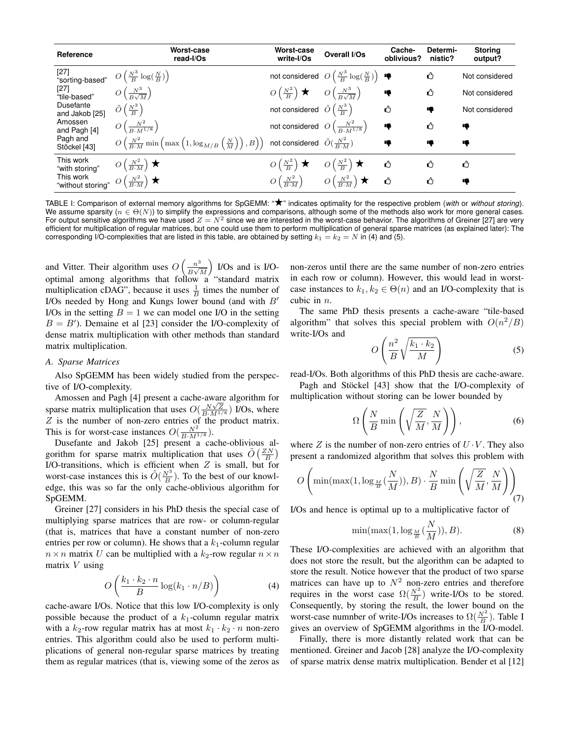| Reference                                                                                                                                              | Worst-case<br>read-I/Os                                                                                                                                       | Worst-case<br>write-I/Os                                                          | Overall I/Os                                                  | Cache-<br>oblivious? | Determi-<br>nistic? | <b>Storing</b><br>output? |
|--------------------------------------------------------------------------------------------------------------------------------------------------------|---------------------------------------------------------------------------------------------------------------------------------------------------------------|-----------------------------------------------------------------------------------|---------------------------------------------------------------|----------------------|---------------------|---------------------------|
|                                                                                                                                                        | [27]<br>"sorting-based" $O\left(\frac{N^3}{B}\log(\frac{N}{B})\right)$                                                                                        |                                                                                   | not considered $O\left(\frac{N^3}{B}\log(\frac{N}{B})\right)$ |                      | ⇧                   | Not considered            |
| [27]<br>"tile-based"                                                                                                                                   | $O\left(\frac{N^3}{B\sqrt{M}}\right)$                                                                                                                         | $O\left(\frac{N^2}{B}\right)$ $\star$ $O\left(\frac{N^3}{B\sqrt{M}}\right)$       |                                                               | ą                    | ᠿ                   | Not considered            |
| Dusefante<br>and Jakob [25]                                                                                                                            | $\tilde{O}\left(\frac{N^3}{B}\right)$                                                                                                                         | not considered $\tilde{O}\left(\frac{N^3}{B}\right)$                              |                                                               | ᠿ                    | ą                   | Not considered            |
| Amossen<br>and Pagh [4]                                                                                                                                | $O\left(\frac{N^2}{B_1M^{1/8}}\right)$                                                                                                                        | not considered $O\left(\frac{N^2}{R_1M^{1/8}}\right)$                             |                                                               | ₩                    | ᠿ                   | ą                         |
| Pagh and<br>Stöckel [43]                                                                                                                               | $O\left(\frac{N^2}{B\cdot M}\min\left(\max\left(1,\log_{M/B}\left(\frac{N}{M}\right)\right),B\right)\right)$ not considered $\tilde{O}(\frac{N^2}{B\cdot M})$ |                                                                                   |                                                               | €                    | ą                   | ₩                         |
| This work<br>"with storing"<br>This work<br><b>THE STRANGE WAS SET OF A STRANGE WATER</b><br>"without storing" $O\left(\frac{N^2}{B \cdot M}\right)$ ★ | $O\left(\frac{N^2}{B\cdot M}\right)$ $\star$                                                                                                                  | $O\left(\frac{N^2}{B}\right) \star \quad O\left(\frac{N^2}{B}\right) \star$       |                                                               | ᠿ                    | ⇧                   | ᠿ                         |
|                                                                                                                                                        |                                                                                                                                                               | $O\left(\frac{N^2}{B\cdot M}\right)$ $O\left(\frac{N^2}{B\cdot M}\right)$ $\star$ |                                                               | ᠿ                    | Ω                   | ą                         |

TABLE I: Comparison of external memory algorithms for SpGEMM: "★" indicates optimality for the respective problem (*with* or *without storing*). We assume sparsity ( $n \in \Theta(N)$ ) to simplify the expressions and comparisons, although some of the methods also work for more general cases. For output sensitive algorithms we have used  $Z = N^2$  since we are interested in the worst-case behavior. The algorithms of Greiner [27] are very efficient for multiplication of regular matrices, but one could use them to perform multiplication of general sparse matrices (as explained later): The corresponding I/O-complexities that are listed in this table, are obtained by setting  $k_1 = k_2 = N$  in (4) and (5).

and Vitter. Their algorithm uses  $O\left(\frac{n^3}{R}\right)$  $\frac{n^3}{B\sqrt{M}}$  I/Os and is I/Ooptimal among algorithms that follow a "standard matrix multiplication cDAG", because it uses  $\frac{1}{B}$  times the number of I/Os needed by Hong and Kungs lower bound (and with  $B'$ I/Os in the setting  $B = 1$  we can model one I/O in the setting  $B = B'$ ). Demaine et al [23] consider the I/O-complexity of dense matrix multiplication with other methods than standard matrix multiplication.

## *A. Sparse Matrices*

Also SpGEMM has been widely studied from the perspective of I/O-complexity.

Amossen and Pagh [4] present a cache-aware algorithm for Allossen and 1 agir [4] present a cache-award algorithm for<br>sparse matrix multiplication that uses  $O(\frac{N\sqrt{Z}}{B\cdot M^{1/8}})$  I/Os, where  $Z$  is the number of non-zero entries of the product matrix. This is for worst-case instances  $O(\frac{N^2}{B \cdot M^{1/8}})$ .

Dusefante and Jakob [25] present a cache-oblivious algorithm for sparse matrix multiplication that uses  $\tilde{O}\left(\frac{ZN}{B}\right)$ I/O-transitions, which is efficient when  $Z$  is small, but for worst-case instances this is  $\tilde{O}(\frac{N^3}{B})$ . To the best of our knowledge, this was so far the only cache-oblivious algorithm for SpGEMM.

Greiner [27] considers in his PhD thesis the special case of multiplying sparse matrices that are row- or column-regular (that is, matrices that have a constant number of non-zero entries per row or column). He shows that a  $k_1$ -column regular  $n \times n$  matrix U can be multiplied with a  $k_2$ -row regular  $n \times n$ matrix  $V$  using

$$
O\left(\frac{k_1 \cdot k_2 \cdot n}{B} \log(k_1 \cdot n/B)\right) \tag{4}
$$

cache-aware I/Os. Notice that this low I/O-complexity is only possible because the product of a  $k_1$ -column regular matrix with a  $k_2$ -row regular matrix has at most  $k_1 \cdot k_2 \cdot n$  non-zero entries. This algorithm could also be used to perform multiplications of general non-regular sparse matrices by treating them as regular matrices (that is, viewing some of the zeros as non-zeros until there are the same number of non-zero entries in each row or column). However, this would lead in worstcase instances to  $k_1, k_2 \in \Theta(n)$  and an I/O-complexity that is cubic in n.

The same PhD thesis presents a cache-aware "tile-based algorithm" that solves this special problem with  $O(n^2/B)$ write-I/Os and

$$
O\left(\frac{n^2}{B}\sqrt{\frac{k_1 \cdot k_2}{M}}\right) \tag{5}
$$

read-I/Os. Both algorithms of this PhD thesis are cache-aware.

Pagh and Stöckel [43] show that the I/O-complexity of multiplication without storing can be lower bounded by

$$
\Omega\left(\frac{N}{B}\min\left(\sqrt{\frac{Z}{M}}, \frac{N}{M}\right)\right),\tag{6}
$$

where  $Z$  is the number of non-zero entries of  $U \cdot V$ . They also present a randomized algorithm that solves this problem with

$$
O\left(\min(\max(1,\log_{\frac{M}{B}}(\frac{N}{M})),B)\cdot\frac{N}{B}\min\left(\sqrt{\frac{Z}{M}},\frac{N}{M}\right)\right)_{(7)}
$$

I/Os and hence is optimal up to a multiplicative factor of

$$
\min(\max(1, \log_{\frac{M}{B}}(\frac{N}{M})), B). \tag{8}
$$

These I/O-complexities are achieved with an algorithm that does not store the result, but the algorithm can be adapted to store the result. Notice however that the product of two sparse matrices can have up to  $N^2$  non-zero entries and therefore requires in the worst case  $\Omega(\frac{N^2}{B})$  write-I/Os to be stored. Consequently, by storing the result, the lower bound on the worst-case numnber of write-I/Os increases to  $\Omega(\frac{N^2}{B})$ . Table I gives an overview of SpGEMM algorithms in the I/O-model.

Finally, there is more distantly related work that can be mentioned. Greiner and Jacob [28] analyze the I/O-complexity of sparse matrix dense matrix multiplication. Bender et al [12]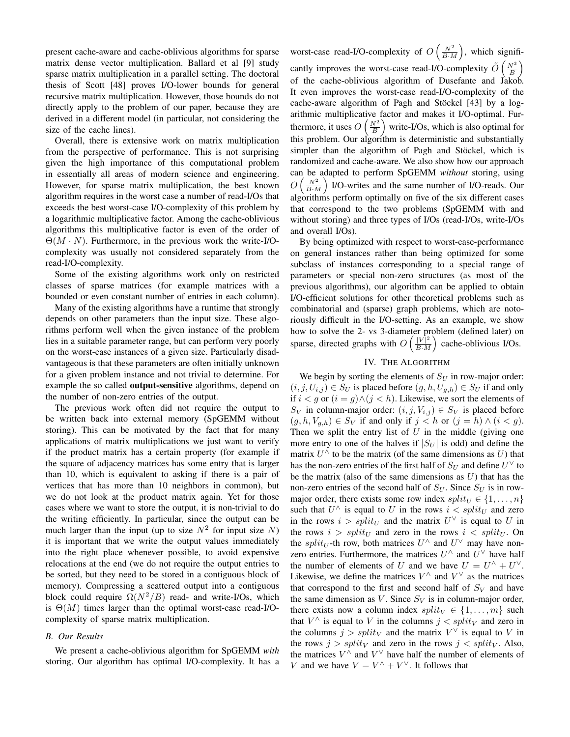present cache-aware and cache-oblivious algorithms for sparse matrix dense vector multiplication. Ballard et al [9] study sparse matrix multiplication in a parallel setting. The doctoral thesis of Scott [48] proves I/O-lower bounds for general recursive matrix multiplication. However, those bounds do not directly apply to the problem of our paper, because they are derived in a different model (in particular, not considering the size of the cache lines).

Overall, there is extensive work on matrix multiplication from the perspective of performance. This is not surprising given the high importance of this computational problem in essentially all areas of modern science and engineering. However, for sparse matrix multiplication, the best known algorithm requires in the worst case a number of read-I/Os that exceeds the best worst-case I/O-complexity of this problem by a logarithmic multiplicative factor. Among the cache-oblivious algorithms this multiplicative factor is even of the order of  $\Theta(M \cdot N)$ . Furthermore, in the previous work the write-I/Ocomplexity was usually not considered separately from the read-I/O-complexity.

Some of the existing algorithms work only on restricted classes of sparse matrices (for example matrices with a bounded or even constant number of entries in each column).

Many of the existing algorithms have a runtime that strongly depends on other parameters than the input size. These algorithms perform well when the given instance of the problem lies in a suitable parameter range, but can perform very poorly on the worst-case instances of a given size. Particularly disadvantageous is that these parameters are often initially unknown for a given problem instance and not trivial to determine. For example the so called **output-sensitive** algorithms, depend on the number of non-zero entries of the output.

The previous work often did not require the output to be written back into external memory (SpGEMM without storing). This can be motivated by the fact that for many applications of matrix multiplications we just want to verify if the product matrix has a certain property (for example if the square of adjacency matrices has some entry that is larger than 10, which is equivalent to asking if there is a pair of vertices that has more than 10 neighbors in common), but we do not look at the product matrix again. Yet for those cases where we want to store the output, it is non-trivial to do the writing efficiently. In particular, since the output can be much larger than the input (up to size  $N^2$  for input size N) it is important that we write the output values immediately into the right place whenever possible, to avoid expensive relocations at the end (we do not require the output entries to be sorted, but they need to be stored in a contiguous block of memory). Compressing a scattered output into a contiguous block could require  $\Omega(N^2/B)$  read- and write-I/Os, which is  $\Theta(M)$  times larger than the optimal worst-case read-I/Ocomplexity of sparse matrix multiplication.

## *B. Our Results*

We present a cache-oblivious algorithm for SpGEMM *with* storing. Our algorithm has optimal I/O-complexity. It has a

worst-case read-I/O-complexity of  $O\left(\frac{N^2}{B\cdot M}\right)$ , which significantly improves the worst-case read-I/O-complexity  $\tilde{O}\left(\frac{N^3}{B}\right)$ of the cache-oblivious algorithm of Dusefante and Jakob. It even improves the worst-case read-I/O-complexity of the cache-aware algorithm of Pagh and Stöckel [43] by a logarithmic multiplicative factor and makes it I/O-optimal. Furthermore, it uses  $O\left(\frac{N^2}{B}\right)$  write-I/Os, which is also optimal for this problem. Our algorithm is deterministic and substantially simpler than the algorithm of Pagh and Stöckel, which is randomized and cache-aware. We also show how our approach can be adapted to perform SpGEMM *without* storing, using  $O\left(\frac{N^2}{B\cdot M}\right)$  I/O-writes and the same number of I/O-reads. Our algorithms perform optimally on five of the six different cases that correspond to the two problems (SpGEMM with and without storing) and three types of I/Os (read-I/Os, write-I/Os and overall I/Os).

By being optimized with respect to worst-case-performance on general instances rather than being optimized for some subclass of instances corresponding to a special range of parameters or special non-zero structures (as most of the previous algorithms), our algorithm can be applied to obtain I/O-efficient solutions for other theoretical problems such as combinatorial and (sparse) graph problems, which are notoriously difficult in the I/O-setting. As an example, we show how to solve the 2- vs 3-diameter problem (defined later) on sparse, directed graphs with  $O\left(\frac{|V|^2}{B\sqrt{M}}\right)$  $\frac{|V|^2}{B \cdot M}$  cache-oblivious I/Os.

## IV. THE ALGORITHM

We begin by sorting the elements of  $S_U$  in row-major order:  $(i, j, U_{i,j}) \in S_U$  is placed before  $(g, h, U_{g,h}) \in S_U$  if and only if *i* < *g* or (*i* = *g*)∧(*j* < *h*). Likewise, we sort the elements of  $S_V$  in column-major order:  $(i, j, V_{i,j}) \in S_V$  is placed before  $(q, h, V_{a,h}) \in S_V$  if and only if  $j < h$  or  $(j = h) \wedge (i < g)$ . Then we split the entry list of  $U$  in the middle (giving one more entry to one of the halves if  $|S_U|$  is odd) and define the matrix  $U^{\wedge}$  to be the matrix (of the same dimensions as U) that has the non-zero entries of the first half of  $S_U$  and define  $U^{\vee}$  to be the matrix (also of the same dimensions as  $U$ ) that has the non-zero entries of the second half of  $S_U$ . Since  $S_U$  is in rowmajor order, there exists some row index  $split_U \in \{1, \ldots, n\}$ such that  $U^{\wedge}$  is equal to U in the rows  $i < split_U$  and zero in the rows  $i > split_U$  and the matrix  $U^{\vee}$  is equal to U in the rows  $i > split_U$  and zero in the rows  $i < split_U$ . On the *split<sub>U</sub>*-th row, both matrices  $U^{\wedge}$  and  $U^{\vee}$  may have nonzero entries. Furthermore, the matrices  $U^{\wedge}$  and  $U^{\vee}$  have half the number of elements of U and we have  $U = U^{\wedge} + U^{\vee}$ . Likewise, we define the matrices  $V^{\wedge}$  and  $V^{\vee}$  as the matrices that correspond to the first and second half of  $S_V$  and have the same dimension as V. Since  $S_V$  is in column-major order, there exists now a column index  $split_V \in \{1, \ldots, m\}$  such that  $V^{\wedge}$  is equal to V in the columns  $j < split_V$  and zero in the columns  $j > \text{split}_V$  and the matrix  $V^\vee$  is equal to V in the rows  $j > split_V$  and zero in the rows  $j < split_V$ . Also, the matrices  $V^{\wedge}$  and  $V^{\vee}$  have half the number of elements of V and we have  $V = V^{\wedge} + V^{\vee}$ . It follows that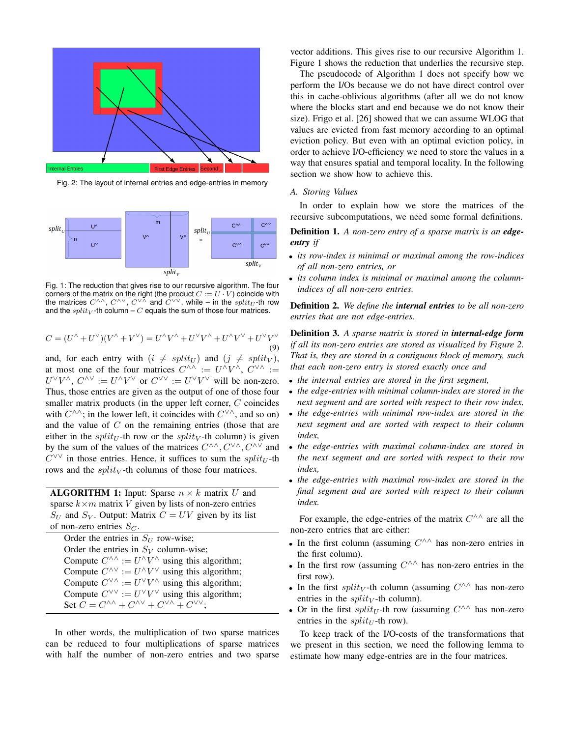

Fig. 2: The layout of internal entries and edge-entries in memory



Fig. 1: The reduction that gives rise to our recursive algorithm. The four corners of the matrix on the right (the product  $C := U \cdot V$ ) coincide with the matrices  $C^{\wedge\wedge}$ ,  $C^{\wedge\vee}$ ,  $C^{\vee\vee}$  and  $C^{\vee\vee}$ , while – in the split<sub>U</sub>-th row and the  $split_V$ -th column –  $C$  equals the sum of those four matrices.

$$
C = (U^{\wedge} + U^{\vee})(V^{\wedge} + V^{\vee}) = U^{\wedge}V^{\wedge} + U^{\vee}V^{\wedge} + U^{\wedge}V^{\vee} + U^{\vee}V^{\vee}
$$
\n(9)

and, for each entry with  $(i \neq split_U)$  and  $(j \neq split_V)$ , at most one of the four matrices  $C^{\wedge\wedge} := U^{\wedge}V^{\wedge}, C^{\vee\wedge} :=$  $U^{\vee}V^{\wedge}$ ,  $C^{\wedge\vee} := U^{\wedge}V^{\vee}$  or  $C^{\vee\vee} := U^{\vee}V^{\vee}$  will be non-zero. Thus, those entries are given as the output of one of those four smaller matrix products (in the upper left corner, C coincides with  $C^{\wedge \wedge}$ ; in the lower left, it coincides with  $C^{\vee \wedge}$ , and so on) and the value of  $C$  on the remaining entries (those that are either in the split<sub>U</sub>-th row or the split<sub>V</sub>-th column) is given by the sum of the values of the matrices  $C^{\wedge\wedge}, C^{\vee\wedge}, C^{\wedge\vee}$  and  $C^{\vee\vee}$  in those entries. Hence, it suffices to sum the split<sub>U</sub>-th rows and the  $split_V$ -th columns of those four matrices.

**ALGORITHM 1:** Input: Sparse  $n \times k$  matrix U and sparse  $k \times m$  matrix V given by lists of non-zero entries  $S_U$  and  $S_V$ . Output: Matrix  $C = UV$  given by its list of non-zero entries  $S_C$ .

Order the entries in  $S_U$  row-wise; Order the entries in  $S_V$  column-wise; Compute  $C^{\wedge \wedge} := U^{\wedge} V^{\wedge}$  using this algorithm; Compute  $C^{\wedge \vee} := U^{\wedge} V^{\vee}$  using this algorithm; Compute  $C^{\vee \wedge} := U^{\vee} V^{\wedge}$  using this algorithm; Compute  $C^{\vee\vee} := U^{\vee}V^{\vee}$  using this algorithm; Set  $C = C^{\wedge\wedge} + C^{\wedge\vee} + C^{\vee\wedge} + C^{\vee\vee};$ 

In other words, the multiplication of two sparse matrices can be reduced to four multiplications of sparse matrices with half the number of non-zero entries and two sparse

vector additions. This gives rise to our recursive Algorithm 1. Figure 1 shows the reduction that underlies the recursive step.

The pseudocode of Algorithm 1 does not specify how we perform the I/Os because we do not have direct control over this in cache-oblivious algorithms (after all we do not know where the blocks start and end because we do not know their size). Frigo et al. [26] showed that we can assume WLOG that values are evicted from fast memory according to an optimal eviction policy. But even with an optimal eviction policy, in order to achieve I/O-efficiency we need to store the values in a way that ensures spatial and temporal locality. In the following section we show how to achieve this.

#### *A. Storing Values*

In order to explain how we store the matrices of the recursive subcomputations, we need some formal definitions.

# Definition 1. *A non-zero entry of a sparse matrix is an edgeentry if*

- *its row-index is minimal or maximal among the row-indices of all non-zero entries, or*
- *its column index is minimal or maximal among the columnindices of all non-zero entries.*

Definition 2. *We define the internal entries to be all non-zero entries that are not edge-entries.*

Definition 3. *A sparse matrix is stored in internal-edge form if all its non-zero entries are stored as visualized by Figure 2. That is, they are stored in a contiguous block of memory, such that each non-zero entry is stored exactly once and*

- *the internal entries are stored in the first segment,*
- *the edge-entries with minimal column-index are stored in the next segment and are sorted with respect to their row index,*
- *the edge-entries with minimal row-index are stored in the next segment and are sorted with respect to their column index,*
- *the edge-entries with maximal column-index are stored in the next segment and are sorted with respect to their row index,*
- *the edge-entries with maximal row-index are stored in the final segment and are sorted with respect to their column index.*

For example, the edge-entries of the matrix  $C^{\wedge\wedge}$  are all the non-zero entries that are either:

- In the first column (assuming  $C^{\wedge\wedge}$  has non-zero entries in the first column).
- In the first row (assuming  $C^{\wedge\wedge}$  has non-zero entries in the first row).
- In the first split<sub>V</sub>-th column (assuming  $C^{\wedge\wedge}$  has non-zero entries in the  $split_V$ -th column).
- Or in the first split<sub>U</sub>-th row (assuming  $C^{\wedge\wedge}$  has non-zero entries in the  $split_{U}$ -th row).

To keep track of the I/O-costs of the transformations that we present in this section, we need the following lemma to estimate how many edge-entries are in the four matrices.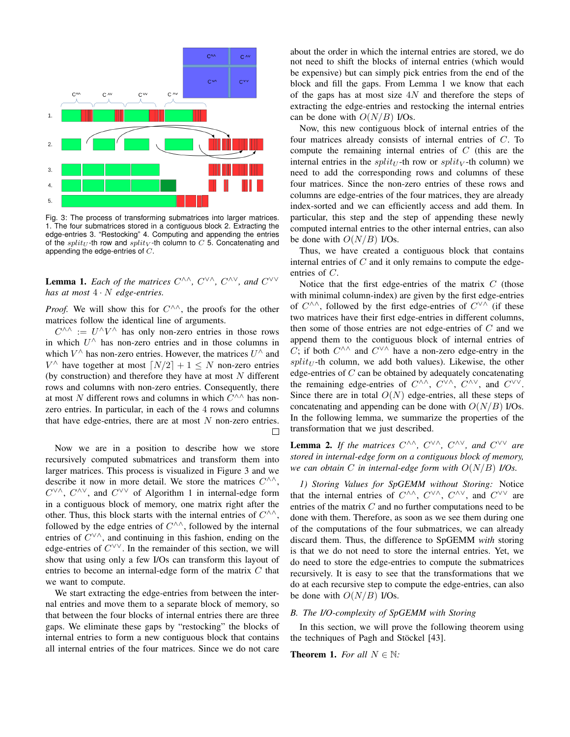

Fig. 3: The process of transforming submatrices into larger matrices. 1. The four submatrices stored in a contiguous block 2. Extracting the edge-entries 3. "Restocking" 4. Computing and appending the entries of the  $split_U$ -th row and  $split_V$ -th column to C 5. Concatenating and appending the edge-entries of  $C$ .

**Lemma 1.** Each of the matrices  $C^{\wedge\wedge}$ ,  $C^{\vee\wedge}$ ,  $C^{\wedge\vee}$ , and  $C^{\vee\vee}$ *has at most* 4 · N *edge-entries.*

*Proof.* We will show this for  $C^{\wedge\wedge}$ , the proofs for the other matrices follow the identical line of arguments.

 $C^{\wedge\wedge} := U^{\wedge}V^{\wedge}$  has only non-zero entries in those rows in which  $U^{\wedge}$  has non-zero entries and in those columns in which  $V^{\wedge}$  has non-zero entries. However, the matrices  $U^{\wedge}$  and  $V^{\wedge}$  have together at most  $\lceil N/2 \rceil + 1 \leq N$  non-zero entries (by construction) and therefore they have at most  $N$  different rows and columns with non-zero entries. Consequently, there at most N different rows and columns in which  $C^{\wedge\wedge}$  has nonzero entries. In particular, in each of the 4 rows and columns that have edge-entries, there are at most  $N$  non-zero entries.  $\Box$ 

Now we are in a position to describe how we store recursively computed submatrices and transform them into larger matrices. This process is visualized in Figure 3 and we describe it now in more detail. We store the matrices  $C^{\wedge\wedge}$ ,  $C^{\vee\wedge}$ ,  $C^{\wedge\vee}$ , and  $C^{\vee\vee}$  of Algorithm 1 in internal-edge form in a contiguous block of memory, one matrix right after the other. Thus, this block starts with the internal entries of  $C^{\wedge\wedge}$ , followed by the edge entries of  $C^{\wedge\wedge}$ , followed by the internal entries of  $C^{\vee\wedge}$ , and continuing in this fashion, ending on the edge-entries of  $C^{\vee\vee}$ . In the remainder of this section, we will show that using only a few I/Os can transform this layout of entries to become an internal-edge form of the matrix  $C$  that we want to compute.

We start extracting the edge-entries from between the internal entries and move them to a separate block of memory, so that between the four blocks of internal entries there are three gaps. We eliminate these gaps by "restocking" the blocks of internal entries to form a new contiguous block that contains all internal entries of the four matrices. Since we do not care

about the order in which the internal entries are stored, we do not need to shift the blocks of internal entries (which would be expensive) but can simply pick entries from the end of the block and fill the gaps. From Lemma 1 we know that each of the gaps has at most size  $4N$  and therefore the steps of extracting the edge-entries and restocking the internal entries can be done with  $O(N/B)$  I/Os.

Now, this new contiguous block of internal entries of the four matrices already consists of internal entries of C. To compute the remaining internal entries of C (this are the internal entries in the *split<sub>U</sub>*-th row or *split<sub>V</sub>*-th column) we need to add the corresponding rows and columns of these four matrices. Since the non-zero entries of these rows and columns are edge-entries of the four matrices, they are already index-sorted and we can efficiently access and add them. In particular, this step and the step of appending these newly computed internal entries to the other internal entries, can also be done with  $O(N/B)$  I/Os.

Thus, we have created a contiguous block that contains internal entries of  $C$  and it only remains to compute the edgeentries of C.

Notice that the first edge-entries of the matrix  $C$  (those with minimal column-index) are given by the first edge-entries of  $C^{\wedge\wedge}$ , followed by the first edge-entries of  $C^{\vee\wedge}$  (if these two matrices have their first edge-entries in different columns, then some of those entries are not edge-entries of  $C$  and we append them to the contiguous block of internal entries of C; if both  $C^{\wedge\wedge}$  and  $C^{\vee\wedge}$  have a non-zero edge-entry in the  $split_U$ -th column, we add both values). Likewise, the other edge-entries of  $C$  can be obtained by adequately concatenating the remaining edge-entries of  $C^{\wedge\wedge}$ ,  $C^{\vee\wedge}$ ,  $C^{\wedge\vee}$ , and  $C^{\vee\vee}$ . Since there are in total  $O(N)$  edge-entries, all these steps of concatenating and appending can be done with  $O(N/B)$  I/Os. In the following lemma, we summarize the properties of the transformation that we just described.

**Lemma 2.** If the matrices  $C^{\wedge\wedge}$ ,  $C^{\vee\wedge}$ ,  $C^{\wedge\vee}$ , and  $C^{\vee\vee}$  are *stored in internal-edge form on a contiguous block of memory, we can obtain* C *in internal-edge form with* O(N/B) *I/Os.*

*1) Storing Values for SpGEMM without Storing:* Notice that the internal entries of  $C^{\wedge\wedge}$ ,  $C^{\vee\wedge}$ ,  $C^{\wedge\vee}$ , and  $C^{\vee\vee}$  are entries of the matrix C and no further computations need to be done with them. Therefore, as soon as we see them during one of the computations of the four submatrices, we can already discard them. Thus, the difference to SpGEMM *with* storing is that we do not need to store the internal entries. Yet, we do need to store the edge-entries to compute the submatrices recursively. It is easy to see that the transformations that we do at each recursive step to compute the edge-entries, can also be done with  $O(N/B)$  I/Os.

## *B. The I/O-complexity of SpGEMM with Storing*

In this section, we will prove the following theorem using the techniques of Pagh and Stöckel [43].

**Theorem 1.** *For all*  $N \in \mathbb{N}$ *:*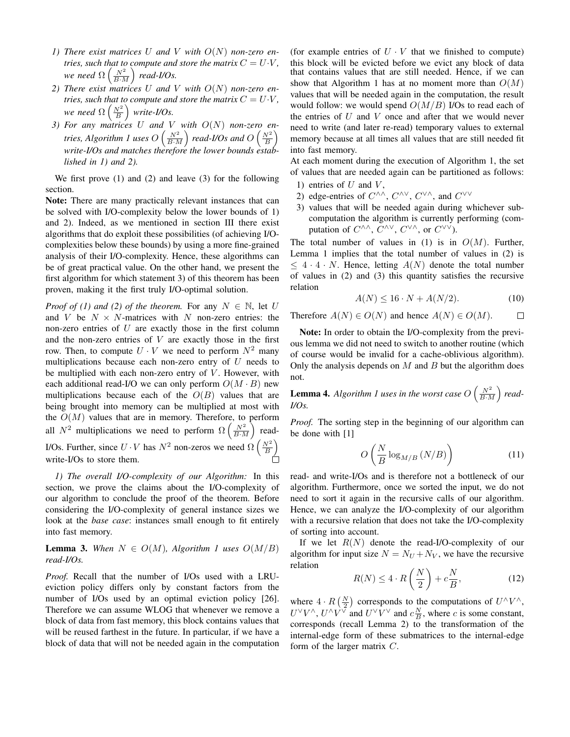- 1) There exist matrices U and V with  $O(N)$  non-zero en*tries, such that to compute and store the matrix*  $C = U \cdot V$ *, we need*  $\Omega\left(\frac{N^2}{B\cdot M}\right)$  *read-I/Os.*
- *2) There exist matrices* U *and* V *with* O(N) *non-zero entries, such that to compute and store the matrix*  $C = U \cdot V$ *, we need*  $\Omega\left(\frac{N^2}{B}\right)$  *write-I/Os.*
- *3) For any matrices* U *and* V *with* O(N) *non-zero en*tries, Algorithm 1 uses O  $\left(\frac{N^2}{B\cdot M}\right)$  read-I/Os and O  $\left(\frac{N^2}{B}\right)$ *write-I/Os and matches therefore the lower bounds established in 1) and 2).*

We first prove (1) and (2) and leave (3) for the following section.

Note: There are many practically relevant instances that can be solved with I/O-complexity below the lower bounds of 1) and 2). Indeed, as we mentioned in section III there exist algorithms that do exploit these possibilities (of achieving I/Ocomplexities below these bounds) by using a more fine-grained analysis of their I/O-complexity. Hence, these algorithms can be of great practical value. On the other hand, we present the first algorithm for which statement 3) of this theorem has been proven, making it the first truly I/O-optimal solution.

*Proof of (1) and (2) of the theorem.* For any  $N \in \mathbb{N}$ , let U and V be  $N \times N$ -matrices with N non-zero entries: the non-zero entries of  $U$  are exactly those in the first column and the non-zero entries of  $V$  are exactly those in the first row. Then, to compute  $U \cdot V$  we need to perform  $N^2$  many multiplications because each non-zero entry of  $U$  needs to be multiplied with each non-zero entry of  $V$ . However, with each additional read-I/O we can only perform  $O(M \cdot B)$  new multiplications because each of the  $O(B)$  values that are being brought into memory can be multiplied at most with the  $O(M)$  values that are in memory. Therefore, to perform all  $N^2$  multiplications we need to perform  $\Omega\left(\frac{N^2}{B\cdot M}\right)$  read-I/Os. Further, since  $U \cdot V$  has  $N^2$  non-zeros we need  $\Omega\left(\frac{N^2}{B}\right)$ write-I/Os to store them.

*1) The overall I/O-complexity of our Algorithm:* In this section, we prove the claims about the I/O-complexity of our algorithm to conclude the proof of the theorem. Before considering the I/O-complexity of general instance sizes we look at the *base case*: instances small enough to fit entirely into fast memory.

**Lemma 3.** When  $N \in O(M)$ , Algorithm 1 uses  $O(M/B)$ *read-I/Os.*

*Proof.* Recall that the number of I/Os used with a LRUeviction policy differs only by constant factors from the number of I/Os used by an optimal eviction policy [26]. Therefore we can assume WLOG that whenever we remove a block of data from fast memory, this block contains values that will be reused farthest in the future. In particular, if we have a block of data that will not be needed again in the computation (for example entries of  $U \cdot V$  that we finished to compute) this block will be evicted before we evict any block of data that contains values that are still needed. Hence, if we can show that Algorithm 1 has at no moment more than  $O(M)$ values that will be needed again in the computation, the result would follow: we would spend  $O(M/B)$  I/Os to read each of the entries of  $U$  and  $V$  once and after that we would never need to write (and later re-read) temporary values to external memory because at all times all values that are still needed fit into fast memory.

At each moment during the execution of Algorithm 1, the set of values that are needed again can be partitioned as follows:

- 1) entries of  $U$  and  $V$ ,
- 2) edge-entries of  $C^{\wedge\wedge}$ ,  $C^{\wedge\vee}$ ,  $C^{\vee\wedge}$ , and  $C^{\vee\vee}$
- 3) values that will be needed again during whichever subcomputation the algorithm is currently performing (computation of  $C^{\wedge\wedge}$ ,  $C^{\wedge\vee}$ ,  $C^{\vee\wedge}$ , or  $C^{\vee\vee}$ ).

The total number of values in (1) is in  $O(M)$ . Further, Lemma 1 implies that the total number of values in (2) is  $\leq 4 \cdot 4 \cdot N$ . Hence, letting  $A(N)$  denote the total number of values in (2) and (3) this quantity satisfies the recursive relation

$$
A(N) \le 16 \cdot N + A(N/2). \tag{10}
$$

Therefore  $A(N) \in O(N)$  and hence  $A(N) \in O(M)$ .  $\Box$ 

Note: In order to obtain the I/O-complexity from the previous lemma we did not need to switch to another routine (which of course would be invalid for a cache-oblivious algorithm). Only the analysis depends on  $M$  and  $B$  but the algorithm does not.

**Lemma 4.** Algorithm 1 uses in the worst case  $O\left(\frac{N^2}{B \cdot M}\right)$  read-*I/Os.*

*Proof.* The sorting step in the beginning of our algorithm can be done with [1]

$$
O\left(\frac{N}{B}\log_{M/B}\left(N/B\right)\right) \tag{11}
$$

read- and write-I/Os and is therefore not a bottleneck of our algorithm. Furthermore, once we sorted the input, we do not need to sort it again in the recursive calls of our algorithm. Hence, we can analyze the I/O-complexity of our algorithm with a recursive relation that does not take the I/O-complexity of sorting into account.

If we let  $R(N)$  denote the read-I/O-complexity of our algorithm for input size  $N = N_U + N_V$ , we have the recursive relation

$$
R(N) \le 4 \cdot R\left(\frac{N}{2}\right) + c\frac{N}{B},\tag{12}
$$

where  $4 \cdot R\left(\frac{N}{2}\right)$  corresponds to the computations of  $U^{\wedge}V^{\wedge}$ ,  $U^{\vee}V^{\wedge}$ ,  $U^{\wedge}V^{\vee}$  and  $U^{\vee}V^{\vee}$  and  $c\frac{N}{B}$ , where c is some constant, corresponds (recall Lemma 2) to the transformation of the internal-edge form of these submatrices to the internal-edge form of the larger matrix C.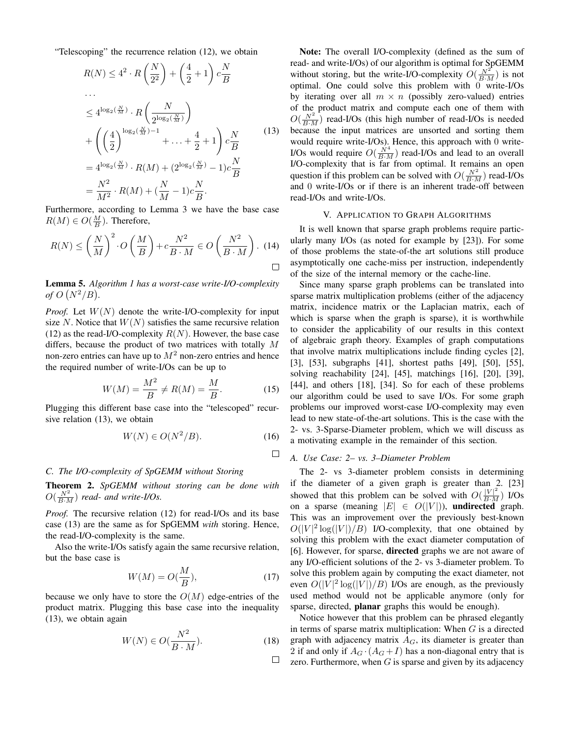"Telescoping" the recurrence relation (12), we obtain

$$
R(N) \le 4^2 \cdot R\left(\frac{N}{2^2}\right) + \left(\frac{4}{2} + 1\right)c\frac{N}{B}
$$
  
\n...\n
$$
\le 4^{\log_2\left(\frac{N}{M}\right)} \cdot R\left(\frac{N}{2^{\log_2\left(\frac{N}{M}\right)}}\right)
$$
  
\n+\n
$$
\left(\left(\frac{4}{2}\right)^{\log_2\left(\frac{N}{M}\right)-1} + \ldots + \frac{4}{2} + 1\right)c\frac{N}{B}
$$
  
\n=\n
$$
4^{\log_2\left(\frac{N}{M}\right)} \cdot R(M) + (2^{\log_2\left(\frac{N}{M}\right)} - 1)c\frac{N}{B}
$$
  
\n=\n
$$
\frac{N^2}{M^2} \cdot R(M) + \left(\frac{N}{M} - 1\right)c\frac{N}{B}.
$$
 (13)

Furthermore, according to Lemma 3 we have the base case  $R(M) \in O(\frac{M}{B})$ . Therefore,

$$
R(N) \le \left(\frac{N}{M}\right)^2 \cdot O\left(\frac{M}{B}\right) + c\frac{N^2}{B \cdot M} \in O\left(\frac{N^2}{B \cdot M}\right). \tag{14}
$$

Lemma 5. *Algorithm 1 has a worst-case write-I/O-complexity of*  $O(N^2/B)$ .

*Proof.* Let  $W(N)$  denote the write-I/O-complexity for input size N. Notice that  $W(N)$  satisfies the same recursive relation (12) as the read-I/O-complexity  $R(N)$ . However, the base case differs, because the product of two matrices with totally M non-zero entries can have up to  $M<sup>2</sup>$  non-zero entries and hence the required number of write-I/Os can be up to

$$
W(M) = \frac{M^2}{B} \neq R(M) = \frac{M}{B}.
$$
 (15)

Plugging this different base case into the "telescoped" recursive relation (13), we obtain

$$
W(N) \in O(N^2/B). \tag{16}
$$

 $\Box$ 

 $\Box$ 

## *C. The I/O-complexity of SpGEMM without Storing*

Theorem 2. *SpGEMM without storing can be done with*  $O(\frac{N^2}{B \cdot M})$  *read-* and write-I/Os.

*Proof.* The recursive relation (12) for read-I/Os and its base case (13) are the same as for SpGEMM *with* storing. Hence, the read-I/O-complexity is the same.

Also the write-I/Os satisfy again the same recursive relation, but the base case is

$$
W(M) = O(\frac{M}{B}),\tag{17}
$$

because we only have to store the  $O(M)$  edge-entries of the product matrix. Plugging this base case into the inequality (13), we obtain again

$$
W(N) \in O(\frac{N^2}{B \cdot M}).
$$
\n(18)

Note: The overall I/O-complexity (defined as the sum of read- and write-I/Os) of our algorithm is optimal for SpGEMM without storing, but the write-I/O-complexity  $O(\frac{N^2}{B \cdot M})$  is not optimal. One could solve this problem with 0 write-I/Os by iterating over all  $m \times n$  (possibly zero-valued) entries of the product matrix and compute each one of them with  $O(\frac{N^2}{B \cdot M})$  read-I/Os (this high number of read-I/Os is needed because the input matrices are unsorted and sorting them would require write-I/Os). Hence, this approach with 0 write-I/Os would require  $O(\frac{N^4}{B \cdot M})$  read-I/Os and lead to an overall I/O-complexity that is far from optimal. It remains an open question if this problem can be solved with  $O(\frac{N^2}{B \cdot M})$  read-I/Os and 0 write-I/Os or if there is an inherent trade-off between read-I/Os and write-I/Os.

## V. APPLICATION TO GRAPH ALGORITHMS

It is well known that sparse graph problems require particularly many I/Os (as noted for example by [23]). For some of those problems the state-of-the art solutions still produce asymptotically one cache-miss per instruction, independently of the size of the internal memory or the cache-line.

Since many sparse graph problems can be translated into sparse matrix multiplication problems (either of the adjacency matrix, incidence matrix or the Laplacian matrix, each of which is sparse when the graph is sparse), it is worthwhile to consider the applicability of our results in this context of algebraic graph theory. Examples of graph computations that involve matrix multiplications include finding cycles [2], [3], [53], subgraphs [41], shortest paths [49], [50], [55], solving reachability [24], [45], matchings [16], [20], [39], [44], and others [18], [34]. So for each of these problems our algorithm could be used to save I/Os. For some graph problems our improved worst-case I/O-complexity may even lead to new state-of-the-art solutions. This is the case with the 2- vs. 3-Sparse-Diameter problem, which we will discuss as a motivating example in the remainder of this section.

## *A. Use Case: 2– vs. 3–Diameter Problem*

The 2- vs 3-diameter problem consists in determining if the diameter of a given graph is greater than 2. [23] showed that this problem can be solved with  $O(\frac{|V|^2}{B \cdot M})$  I/Os on a sparse (meaning  $|E| \in O(|V|)$ ), undirected graph. This was an improvement over the previously best-known  $O(|V|^2 \log(|V|)/B)$  I/O-complexity, that one obtained by solving this problem with the exact diameter computation of [6]. However, for sparse, directed graphs we are not aware of any I/O-efficient solutions of the 2- vs 3-diameter problem. To solve this problem again by computing the exact diameter, not even  $O(|V|^2 \log(|V|)/B)$  I/Os are enough, as the previously used method would not be applicable anymore (only for sparse, directed, planar graphs this would be enough).

Notice however that this problem can be phrased elegantly in terms of sparse matrix multiplication: When  $G$  is a directed graph with adjacency matrix  $A_G$ , its diameter is greater than 2 if and only if  $A_G \cdot (A_G + I)$  has a non-diagonal entry that is zero. Furthermore, when  $G$  is sparse and given by its adjacency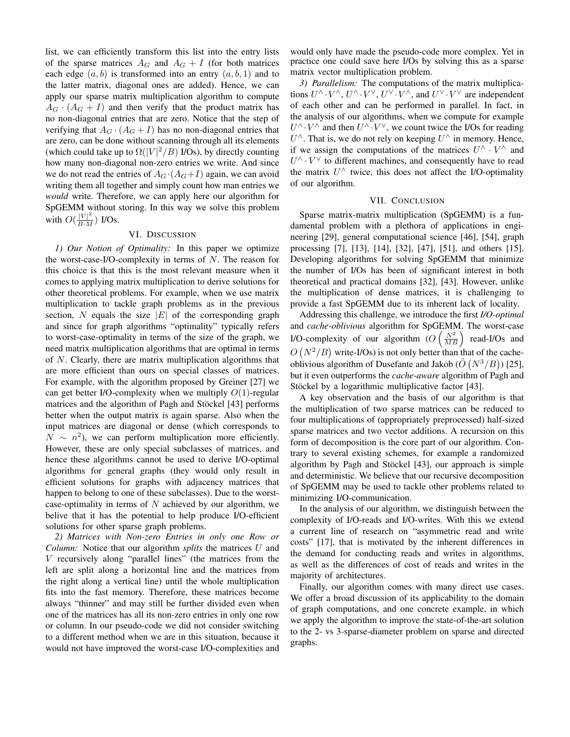list, we can efficiently transform this list into the entry lists of the sparse matrices  $A_G$  and  $A_G + I$  (for both matrices each edge  $(a, b)$  is transformed into an entry  $(a, b, 1)$  and to the latter matrix, diagonal ones are added). Hence, we can apply our sparse matrix multiplication algorithm to compute  $A_G \cdot (A_G + I)$  and then verify that the product matrix has no non-diagonal entries that are zero. Notice that the step of verifying that  $A_G \cdot (A_G + I)$  has no non-diagonal entries that are zero, can be done without scanning through all its elements (which could take up to  $\Omega(|V|^2/B)$  I/Os), by directly counting how many non-diagonal non-zero entries we write. And since we do not read the entries of  $A_G \cdot (A_G + I)$  again, we can avoid writing them all together and simply count how man entries we *would* write. Therefore, we can apply here our algorithm for SpGEMM without storing. In this way we solve this problem with  $O(\frac{|V|^2}{B \cdot M})$  I/Os.

## VI. DISCUSSION

*1) Our Notion of Optimality:* In this paper we optimize the worst-case-I/O-complexity in terms of  $N$ . The reason for this choice is that this is the most relevant measure when it comes to applying matrix multiplication to derive solutions for other theoretical problems. For example, when we use matrix multiplication to tackle graph problems as in the previous section, N equals the size  $|E|$  of the corresponding graph and since for graph algorithms "optimality" typically refers to worst-case-optimality in terms of the size of the graph, we need matrix multiplication algorithms that are optimal in terms of N. Clearly, there are matrix multiplication algorithms that are more efficient than ours on special classes of matrices. For example, with the algorithm proposed by Greiner [27] we can get better I/O-complexity when we multiply  $O(1)$ -regular matrices and the algorithm of Pagh and Stöckel [43] performs better when the output matrix is again sparse. Also when the input matrices are diagonal or dense (which corresponds to  $N \sim n^2$ ), we can perform multiplication more efficiently. However, these are only special subclasses of matrices, and hence these algorithms cannot be used to derive I/O-optimal algorithms for general graphs (they would only result in efficient solutions for graphs with adjacency matrices that happen to belong to one of these subclasses). Due to the worstcase-optimality in terms of  $N$  achieved by our algorithm, we belive that it has the potential to help produce I/O-efficient solutions for other sparse graph problems.

*2) Matrices with Non-zero Entries in only one Row or Column:* Notice that our algorithm *splits* the matrices U and V recursively along "parallel lines" (the matrices from the left are split along a horizontal line and the matrices from the right along a vertical line) until the whole multiplication fits into the fast memory. Therefore, these matrices become always "thinner" and may still be further divided even when one of the matrices has all its non-zero entries in only one row or column. In our pseudo-code we did not consider switching to a different method when we are in this situation, because it would not have improved the worst-case I/O-complexities and

would only have made the pseudo-code more complex. Yet in practice one could save here I/Os by solving this as a sparse matrix vector multiplication problem.

*3) Parallelism:* The computations of the matrix multiplications  $U^{\wedge} \cdot V^{\wedge}$ ,  $U^{\wedge} \cdot V^{\vee}$ ,  $U^{\vee} \cdot V^{\wedge}$ , and  $U^{\vee} \cdot V^{\vee}$  are independent of each other and can be performed in parallel. In fact, in the analysis of our algorithms, when we compute for example  $U^{\wedge} \cdot V^{\wedge}$  and then  $U^{\wedge} \cdot V^{\vee}$ , we count twice the I/Os for reading  $U^{\wedge}$ . That is, we do not rely on keeping  $U^{\wedge}$  in memory. Hence, if we assign the computations of the matrices  $U^{\wedge} \cdot V^{\wedge}$  and  $U^{\wedge} \cdot V^{\vee}$  to different machines, and consequently have to read the matrix  $U^{\wedge}$  twice, this does not affect the I/O-optimality of our algorithm.

#### VII. CONCLUSION

Sparse matrix-matrix multiplication (SpGEMM) is a fundamental problem with a plethora of applications in engineering [29], general computational science [46], [54], graph processing [7], [13], [14], [32], [47], [51], and others [15]. Developing algorithms for solving SpGEMM that minimize the number of I/Os has been of significant interest in both theoretical and practical domains [32], [43]. However, unlike the multiplication of dense matrices, it is challenging to provide a fast SpGEMM due to its inherent lack of locality.

Addressing this challenge, we introduce the first *I/O-optimal* and *cache-oblivious* algorithm for SpGEMM. The worst-case I/O-complexity of our algorithm  $(O(\frac{N^2}{MB})$  read-I/Os and  $O(N^2/B)$  write-I/Os) is not only better than that of the cacheoblivious algorithm of Dusefante and Jakob ( $\tilde{O}(N^3/B)$ ) [25], but it even outperforms the *cache-aware* algorithm of Pagh and Stöckel by a logarithmic multiplicative factor [43].

A key observation and the basis of our algorithm is that the multiplication of two sparse matrices can be reduced to four multiplications of (appropriately preprocessed) half-sized sparse matrices and two vector additions. A recursion on this form of decomposition is the core part of our algorithm. Contrary to several existing schemes, for example a randomized algorithm by Pagh and Stöckel [43], our approach is simple and deterministic. We believe that our recursive decomposition of SpGEMM may be used to tackle other problems related to minimizing I/O-communication.

In the analysis of our algorithm, we distinguish between the complexity of I/O-reads and I/O-writes. With this we extend a current line of research on "asymmetric read and write costs" [17], that is motivated by the inherent differences in the demand for conducting reads and writes in algorithms, as well as the differences of cost of reads and writes in the majority of architectures.

Finally, our algorithm comes with many direct use cases. We offer a broad discussion of its applicability to the domain of graph computations, and one concrete example, in which we apply the algorithm to improve the state-of-the-art solution to the 2- vs 3-sparse-diameter problem on sparse and directed graphs.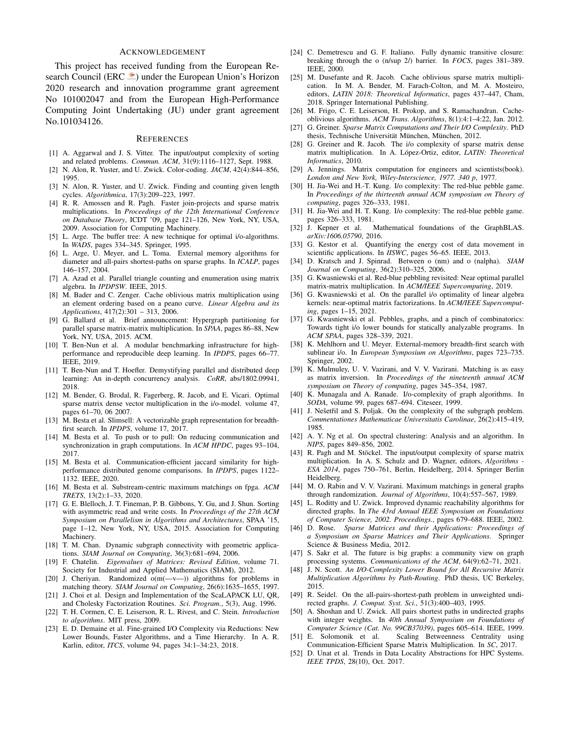## ACKNOWLEDGEMENT

This project has received funding from the European Research Council (ERC  $\equiv$ ) under the European Union's Horizon 2020 research and innovation programme grant agreement No 101002047 and from the European High-Performance Computing Joint Undertaking (JU) under grant agreement No.101034126.

#### **REFERENCES**

- [1] A. Aggarwal and J. S. Vitter. The input/output complexity of sorting and related problems. *Commun. ACM*, 31(9):1116–1127, Sept. 1988.
- [2] N. Alon, R. Yuster, and U. Zwick. Color-coding. *JACM*, 42(4):844–856, 1995.
- [3] N. Alon, R. Yuster, and U. Zwick. Finding and counting given length cycles. *Algorithmica*, 17(3):209–223, 1997.
- [4] R. R. Amossen and R. Pagh. Faster join-projects and sparse matrix multiplications. In *Proceedings of the 12th International Conference on Database Theory*, ICDT '09, page 121–126, New York, NY, USA, 2009. Association for Computing Machinery.
- [5] L. Arge. The buffer tree: A new technique for optimal i/o-algorithms. In *WADS*, pages 334–345. Springer, 1995.
- [6] L. Arge, U. Meyer, and L. Toma. External memory algorithms for diameter and all-pairs shortest-paths on sparse graphs. In *ICALP*, pages 146–157, 2004.
- [7] A. Azad et al. Parallel triangle counting and enumeration using matrix algebra. In *IPDPSW*. IEEE, 2015.
- [8] M. Bader and C. Zenger. Cache oblivious matrix multiplication using an element ordering based on a peano curve. *Linear Algebra and its Applications*, 417(2):301 – 313, 2006.
- [9] G. Ballard et al. Brief announcement: Hypergraph partitioning for parallel sparse matrix-matrix multiplication. In *SPAA*, pages 86–88, New York, NY, USA, 2015. ACM.
- [10] T. Ben-Nun et al. A modular benchmarking infrastructure for highperformance and reproducible deep learning. In *IPDPS*, pages 66–77. IEEE, 2019.
- [11] T. Ben-Nun and T. Hoefler. Demystifying parallel and distributed deep learning: An in-depth concurrency analysis. *CoRR*, abs/1802.09941, 2018.
- [12] M. Bender, G. Brodal, R. Fagerberg, R. Jacob, and E. Vicari. Optimal sparse matrix dense vector multiplication in the i/o-model. volume 47, pages 61–70, 06 2007.
- [13] M. Besta et al. Slimsell: A vectorizable graph representation for breadthfirst search. In *IPDPS*, volume 17, 2017.
- [14] M. Besta et al. To push or to pull: On reducing communication and synchronization in graph computations. In *ACM HPDC*, pages 93–104, 2017.
- [15] M. Besta et al. Communication-efficient jaccard similarity for highperformance distributed genome comparisons. In *IPDPS*, pages 1122– 1132. IEEE, 2020.
- [16] M. Besta et al. Substream-centric maximum matchings on fpga. *ACM TRETS*, 13(2):1–33, 2020.
- [17] G. E. Blelloch, J. T. Fineman, P. B. Gibbons, Y. Gu, and J. Shun. Sorting with asymmetric read and write costs. In *Proceedings of the 27th ACM Symposium on Parallelism in Algorithms and Architectures*, SPAA '15, page 1–12, New York, NY, USA, 2015. Association for Computing Machinery.
- [18] T. M. Chan. Dynamic subgraph connectivity with geometric applications. *SIAM Journal on Computing*, 36(3):681–694, 2006.
- [19] F. Chatelin. *Eigenvalues of Matrices: Revised Edition*, volume 71. Society for Industrial and Applied Mathematics (SIAM), 2012.
- [20] J. Cheriyan. Randomized o(m(-v-)) algorithms for problems in matching theory. *SIAM Journal on Computing*, 26(6):1635–1655, 1997.
- [21] J. Choi et al. Design and Implementation of the ScaLAPACK LU, QR, and Cholesky Factorization Routines. *Sci. Program.*, 5(3), Aug. 1996.
- [22] T. H. Cormen, C. E. Leiserson, R. L. Rivest, and C. Stein. *Introduction to algorithms*. MIT press, 2009.
- [23] E. D. Demaine et al. Fine-grained I/O Complexity via Reductions: New Lower Bounds, Faster Algorithms, and a Time Hierarchy. In A. R. Karlin, editor, *ITCS*, volume 94, pages 34:1–34:23, 2018.
- [24] C. Demetrescu and G. F. Italiano. Fully dynamic transitive closure: breaking through the o (n/sup 2/) barrier. In *FOCS*, pages 381–389. IEEE, 2000.
- [25] M. Dusefante and R. Jacob. Cache oblivious sparse matrix multiplication. In M. A. Bender, M. Farach-Colton, and M. A. Mosteiro, editors, *LATIN 2018: Theoretical Informatics*, pages 437–447, Cham, 2018. Springer International Publishing.
- [26] M. Frigo, C. E. Leiserson, H. Prokop, and S. Ramachandran. Cacheoblivious algorithms. *ACM Trans. Algorithms*, 8(1):4:1–4:22, Jan. 2012.
- [27] G. Greiner. *Sparse Matrix Computations and Their I/O Complexity*. PhD thesis, Technische Universität München, München, 2012.
- [28] G. Greiner and R. Jacob. The i/o complexity of sparse matrix dense matrix multiplication. In A. López-Ortiz, editor, *LATIN: Theoretical Informatics*, 2010.
- [29] A. Jennings. Matrix computation for engineers and scientists(book). *London and New York, Wiley-Interscience, 1977. 340 p*, 1977.
- [30] H. Jia-Wei and H.-T. Kung. I/o complexity: The red-blue pebble game. In *Proceedings of the thirteenth annual ACM symposium on Theory of computing*, pages 326–333, 1981.
- [31] H. Jia-Wei and H. T. Kung. I/o complexity: The red-blue pebble game. pages 326–333, 1981.
- [32] J. Kepner et al. Mathematical foundations of the GraphBLAS. *arXiv:1606.05790*, 2016.
- [33] G. Kestor et al. Quantifying the energy cost of data movement in scientific applications. In *IISWC*, pages 56–65. IEEE, 2013.
- [34] D. Kratsch and J. Spinrad. Between o (nm) and o (nalpha). *SIAM Journal on Computing*, 36(2):310–325, 2006.
- [35] G. Kwasniewski et al. Red-blue pebbling revisited: Near optimal parallel matrix-matrix multiplication. In *ACM/IEEE Supercomputing*, 2019.
- [36] G. Kwasniewski et al. On the parallel i/o optimality of linear algebra kernels: near-optimal matrix factorizations. In *ACM/IEEE Supercomputing*, pages 1–15, 2021.
- [37] G. Kwasniewski et al. Pebbles, graphs, and a pinch of combinatorics: Towards tight i/o lower bounds for statically analyzable programs. In *ACM SPAA*, pages 328–339, 2021.
- [38] K. Mehlhorn and U. Meyer. External-memory breadth-first search with sublinear i/o. In *European Symposium on Algorithms*, pages 723–735. Springer, 2002.
- [39] K. Mulmuley, U. V. Vazirani, and V. V. Vazirani. Matching is as easy as matrix inversion. In *Proceedings of the nineteenth annual ACM symposium on Theory of computing*, pages 345–354, 1987.
- [40] K. Munagala and A. Ranade. I/o-complexity of graph algorithms. In *SODA*, volume 99, pages 687–694. Citeseer, 1999.
- [41] J. Nešetřil and S. Poljak. On the complexity of the subgraph problem. *Commentationes Mathematicae Universitatis Carolinae*, 26(2):415–419, 1985.
- [42] A. Y. Ng et al. On spectral clustering: Analysis and an algorithm. In *NIPS*, pages 849–856, 2002.
- [43] R. Pagh and M. Stöckel. The input/output complexity of sparse matrix multiplication. In A. S. Schulz and D. Wagner, editors, *Algorithms - ESA 2014*, pages 750–761, Berlin, Heidelberg, 2014. Springer Berlin Heidelberg.
- [44] M. O. Rabin and V. V. Vazirani. Maximum matchings in general graphs through randomization. *Journal of Algorithms*, 10(4):557–567, 1989.
- [45] L. Roditty and U. Zwick. Improved dynamic reachability algorithms for directed graphs. In *The 43rd Annual IEEE Symposium on Foundations of Computer Science, 2002. Proceedings.*, pages 679–688. IEEE, 2002.
- [46] D. Rose. *Sparse Matrices and their Applications: Proceedings of a Symposium on Sparse Matrices and Their Applications*. Springer Science & Business Media, 2012.
- [47] S. Sakr et al. The future is big graphs: a community view on graph processing systems. *Communications of the ACM*, 64(9):62–71, 2021.
- [48] J. N. Scott. *An I/O-Complexity Lower Bound for All Recursive Matrix Multiplication Algorithms by Path-Routing*. PhD thesis, UC Berkeley, 2015.
- [49] R. Seidel. On the all-pairs-shortest-path problem in unweighted undirected graphs. *J. Comput. Syst. Sci.*, 51(3):400–403, 1995.
- [50] A. Shoshan and U. Zwick. All pairs shortest paths in undirected graphs with integer weights. In *40th Annual Symposium on Foundations of Computer Science (Cat. No. 99CB37039)*, pages 605–614. IEEE, 1999. [51] E. Solomonik et al. Scaling Betweenness Centrality using
- Scaling Betweenness Centrality using Communication-Efficient Sparse Matrix Multiplication. In *SC*, 2017.
- [52] D. Unat et al. Trends in Data Locality Abstractions for HPC Systems. *IEEE TPDS*, 28(10), Oct. 2017.